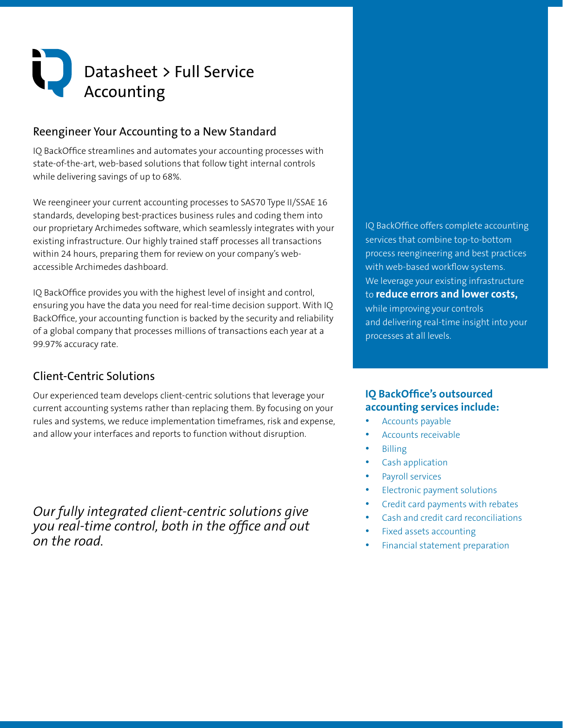# Datasheet > Full Service Accounting

### Reengineer Your Accounting to a New Standard

IQ BackOffice streamlines and automates your accounting processes with state-of-the-art, web-based solutions that follow tight internal controls while delivering savings of up to 68%.

We reengineer your current accounting processes to SAS70 Type II/SSAE 16 standards, developing best-practices business rules and coding them into our proprietary Archimedes software, which seamlessly integrates with your existing infrastructure. Our highly trained staff processes all transactions within 24 hours, preparing them for review on your company's webaccessible Archimedes dashboard.

IQ BackOffice provides you with the highest level of insight and control, ensuring you have the data you need for real-time decision support. With IQ BackOffice, your accounting function is backed by the security and reliability of a global company that processes millions of transactions each year at a 99.97% accuracy rate.

## Client-Centric Solutions

Our experienced team develops client-centric solutions that leverage your current accounting systems rather than replacing them. By focusing on your rules and systems, we reduce implementation timeframes, risk and expense, and allow your interfaces and reports to function without disruption.

*Our fully integrated client-centric solutions give you real-time control, both in the office and out on the road.*

IQ BackOffice offers complete accounting services that combine top-to-bottom process reengineering and best practices with web-based workflow systems. We leverage your existing infrastructure to **reduce errors and lower costs,** while improving your controls and delivering real-time insight into your processes at all levels.

#### **IQ BackOffice's outsourced accounting services include:**

- Accounts payable
- Accounts receivable
- **Billing**
- Cash application
- Payroll services
- Electronic payment solutions
- Credit card payments with rebates
- Cash and credit card reconciliations
- Fixed assets accounting
- Financial statement preparation